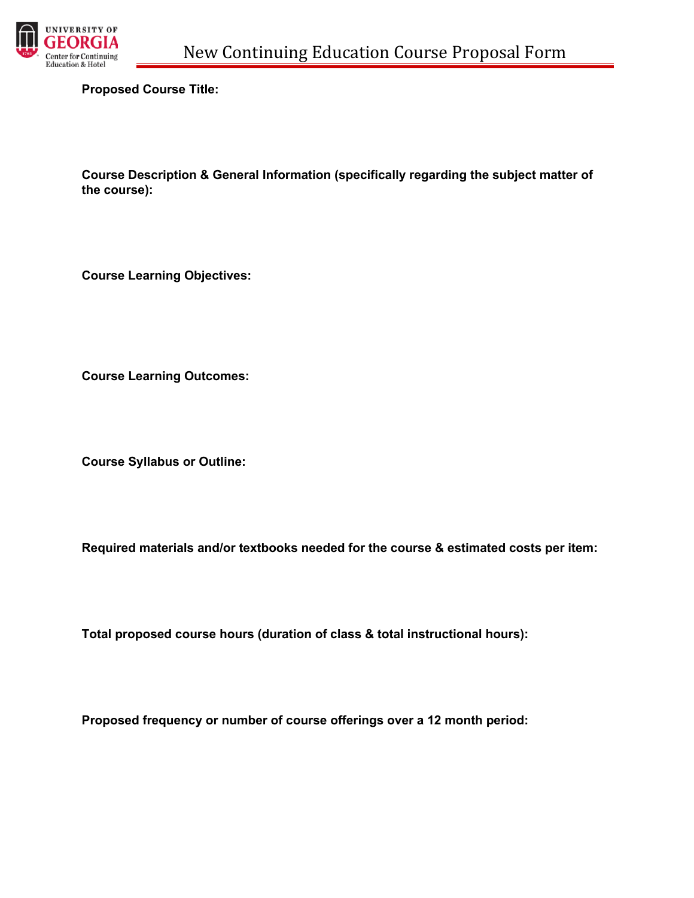

**Proposed Course Title:**

**Course Description & General Information (specifically regarding the subject matter of the course):** 

**Course Learning Objectives:**

**Course Learning Outcomes:**

**Course Syllabus or Outline:**

**Required materials and/or textbooks needed for the course & estimated costs per item:**

**Total proposed course hours (duration of class & total instructional hours):**

**Proposed frequency or number of course offerings over a 12 month period:**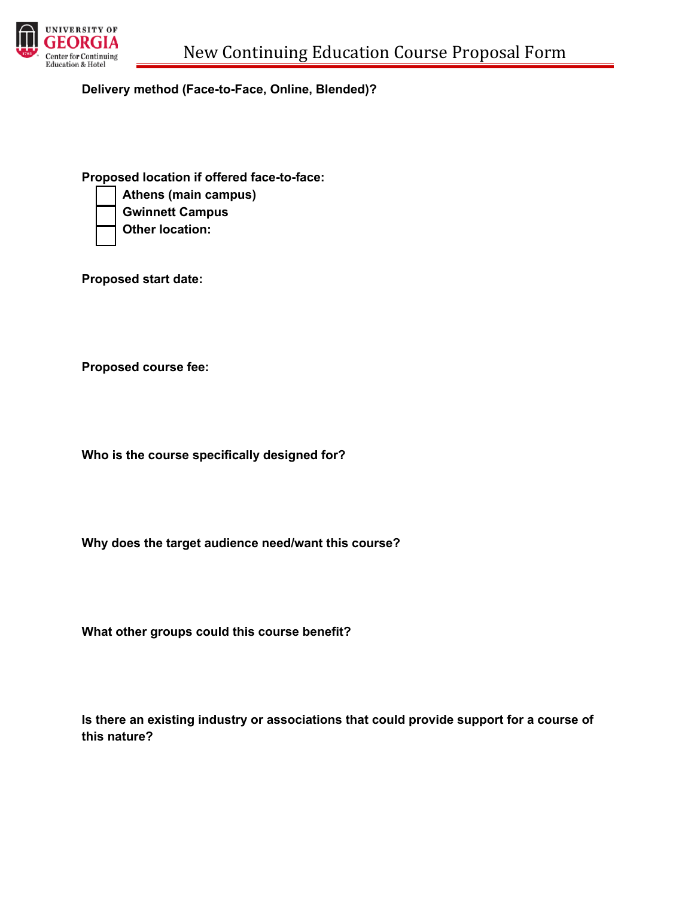

**Delivery method (Face-to-Face, Online, Blended)?**

**Proposed location if offered face-to-face:** 

• **Athens (main campus)**

• **Gwinnett Campus**

• **Other location:**

**Proposed start date:**

**Proposed course fee:**

**Who is the course specifically designed for?**

**Why does the target audience need/want this course?**

**What other groups could this course benefit?**

**Is there an existing industry or associations that could provide support for a course of this nature?**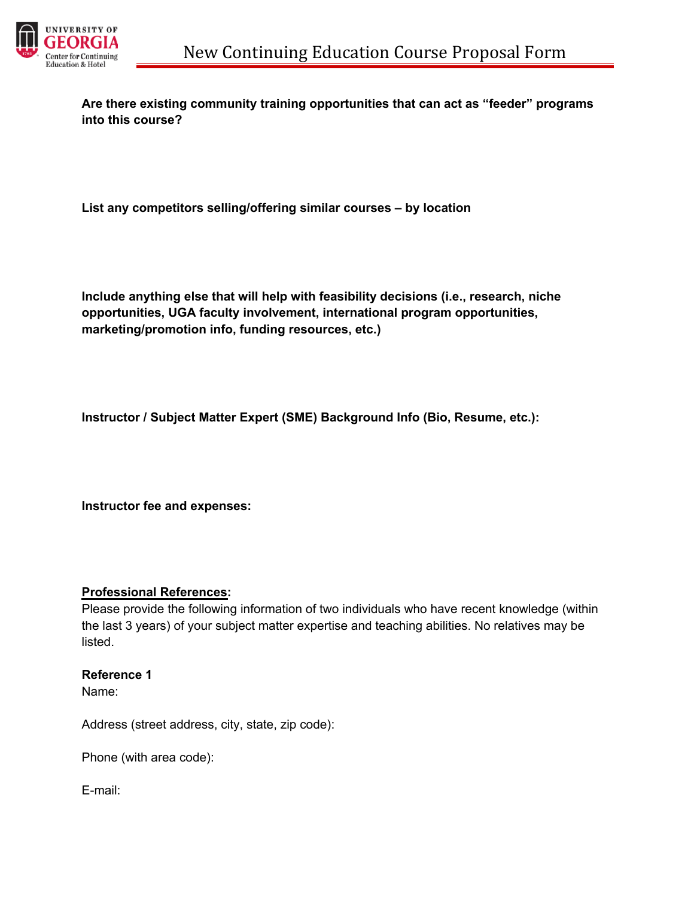

**Are there existing community training opportunities that can act as "feeder" programs into this course?**

**List any competitors selling/offering similar courses – by location**

**Include anything else that will help with feasibility decisions (i.e., research, niche opportunities, UGA faculty involvement, international program opportunities, marketing/promotion info, funding resources, etc.)**

**Instructor / Subject Matter Expert (SME) Background Info (Bio, Resume, etc.):**

**Instructor fee and expenses:**

## **Professional References:**

Please provide the following information of two individuals who have recent knowledge (within the last 3 years) of your subject matter expertise and teaching abilities. No relatives may be listed.

## **Reference 1**

Name:

Address (street address, city, state, zip code):

Phone (with area code):

E-mail: